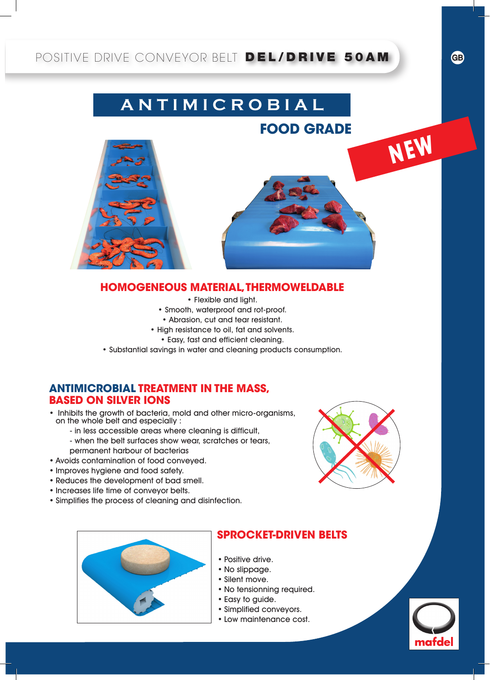## POSITIVE DRIVE CONVEYOR BELT DEL/DRIVE 50AM

# **A N T I M I C R O B I A L**

**FOOD GRADE**

**NEW**

**GB**



### **HOMOGENEOUS MATERIAL, THERMOWELDABLE**

- • Flexible and light.
- • Smooth, waterproof and rot-proof.
- • Abrasion, cut and tear resistant.
- High resistance to oil, fat and solvents.
	- • Easy, fast and efficient cleaning.
- • Substantial savings in water and cleaning products consumption.

#### **ANTIMICROBIAL TREATMENT IN THE MASS, BASED ON SILVER IONS**

- Inhibits the growth of bacteria, mold and other micro-organisms, on the whole belt and especially :
	- in less accessible areas where cleaning is difficult,
	- when the belt surfaces show wear, scratches or tears, permanent harbour of bacterias
- • Avoids contamination of food conveyed.
- • Improves hygiene and food safety.
- • Reduces the development of bad smell.
- • Increases life time of conveyor belts.
- • Simplifies the process of cleaning and disinfection.





### **SPROCKET-DRIVEN BELTS**

- Positive drive.
- No slippage.
- • Silent move.
- No tensionning required.
- • Easy to guide.
- • Simplified conveyors.
- • Low maintenance cost.